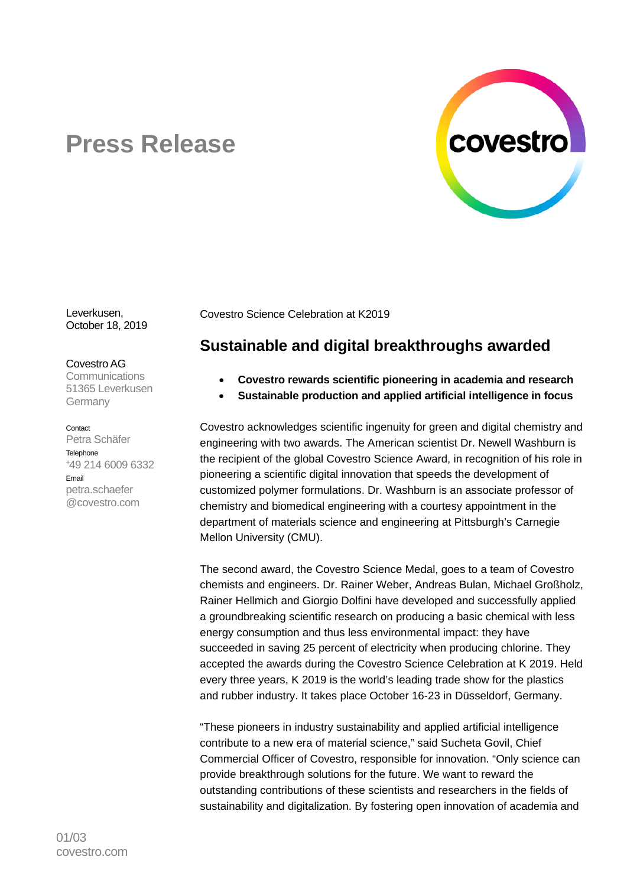

# **Press Release**

Leverkusen, October 18, 2019

Covestro AG

**Communications** 51365 Leverkusen Germany

#### Contact

Petra Schäfer **Telephone** +49 214 6009 6332 Email petra.schaefer @covestro.com

Covestro Science Celebration at K2019

# **Sustainable and digital breakthroughs awarded**

- **Covestro rewards scientific pioneering in academia and research**
- **Sustainable production and applied artificial intelligence in focus**

Covestro acknowledges scientific ingenuity for green and digital chemistry and engineering with two awards. The American scientist Dr. Newell Washburn is the recipient of the global Covestro Science Award, in recognition of his role in pioneering a scientific digital innovation that speeds the development of customized polymer formulations. Dr. Washburn is an associate professor of chemistry and biomedical engineering with a courtesy appointment in the department of materials science and engineering at Pittsburgh's Carnegie Mellon University (CMU).

The second award, the Covestro Science Medal, goes to a team of Covestro chemists and engineers. Dr. Rainer Weber, Andreas Bulan, Michael Großholz, Rainer Hellmich and Giorgio Dolfini have developed and successfully applied a groundbreaking scientific research on producing a basic chemical with less energy consumption and thus less environmental impact: they have succeeded in saving 25 percent of electricity when producing chlorine. They accepted the awards during the Covestro Science Celebration at K 2019. Held every three years, K 2019 is the world's leading trade show for the plastics and rubber industry. It takes place October 16-23 in Düsseldorf, Germany.

"These pioneers in industry sustainability and applied artificial intelligence contribute to a new era of material science," said Sucheta Govil, Chief Commercial Officer of Covestro, responsible for innovation. "Only science can provide breakthrough solutions for the future. We want to reward the outstanding contributions of these scientists and researchers in the fields of sustainability and digitalization. By fostering open innovation of academia and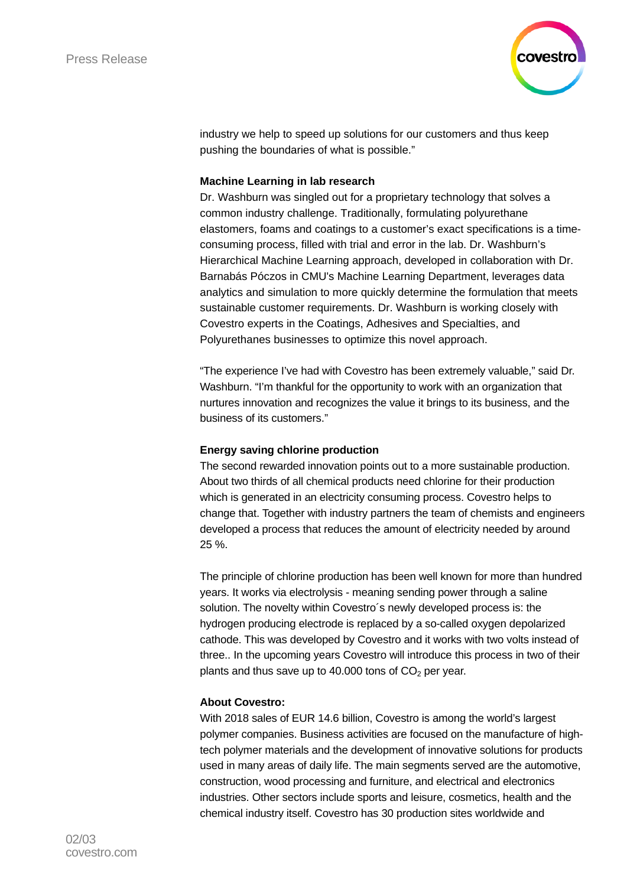

industry we help to speed up solutions for our customers and thus keep pushing the boundaries of what is possible."

#### **Machine Learning in lab research**

Dr. Washburn was singled out for a proprietary technology that solves a common industry challenge. Traditionally, formulating polyurethane elastomers, foams and coatings to a customer's exact specifications is a timeconsuming process, filled with trial and error in the lab. Dr. Washburn's Hierarchical Machine Learning approach, developed in collaboration with Dr. Barnabás Póczos in CMU's Machine Learning Department, leverages data analytics and simulation to more quickly determine the formulation that meets sustainable customer requirements. Dr. Washburn is working closely with Covestro experts in the Coatings, Adhesives and Specialties, and Polyurethanes businesses to optimize this novel approach.

"The experience I've had with Covestro has been extremely valuable," said Dr. Washburn. "I'm thankful for the opportunity to work with an organization that nurtures innovation and recognizes the value it brings to its business, and the business of its customers."

## **Energy saving chlorine production**

The second rewarded innovation points out to a more sustainable production. About two thirds of all chemical products need chlorine for their production which is generated in an electricity consuming process. Covestro helps to change that. Together with industry partners the team of chemists and engineers developed a process that reduces the amount of electricity needed by around 25 %.

The principle of chlorine production has been well known for more than hundred years. It works via electrolysis - meaning sending power through a saline solution. The novelty within Covestro´s newly developed process is: the hydrogen producing electrode is replaced by a so-called oxygen depolarized cathode. This was developed by Covestro and it works with two volts instead of three.. In the upcoming years Covestro will introduce this process in two of their plants and thus save up to 40.000 tons of  $CO<sub>2</sub>$  per year.

## **About Covestro:**

With 2018 sales of EUR 14.6 billion, Covestro is among the world's largest polymer companies. Business activities are focused on the manufacture of hightech polymer materials and the development of innovative solutions for products used in many areas of daily life. The main segments served are the automotive, construction, wood processing and furniture, and electrical and electronics industries. Other sectors include sports and leisure, cosmetics, health and the chemical industry itself. Covestro has 30 production sites worldwide and